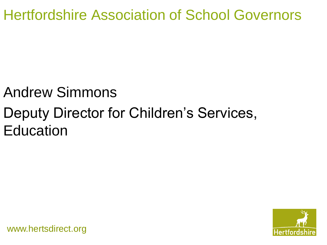Hertfordshire Association of School Governors

## Andrew Simmons

## Deputy Director for Children's Services, **Education**

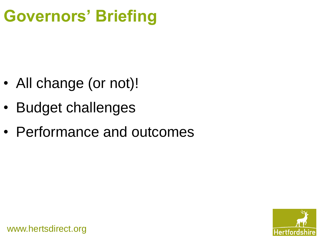# **Governors' Briefing**

- All change (or not)!
- Budget challenges
- Performance and outcomes

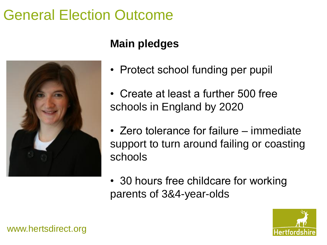## General Election Outcome



## **Main pledges**

- Protect school funding per pupil
- Create at least a further 500 free schools in England by 2020
- Zero tolerance for failure immediate support to turn around failing or coasting schools
- 30 hours free childcare for working parents of 3&4-year-olds

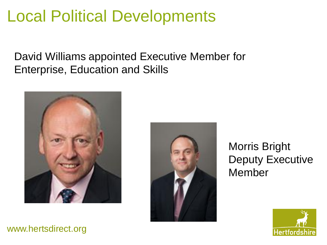# Local Political Developments

David Williams appointed Executive Member for Enterprise, Education and Skills





Morris Bright Deputy Executive Member

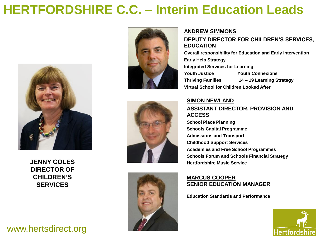## **HERTFORDSHIRE C.C. – Interim Education Leads**



**DIRECTOR OF CHILDREN'S SERVICES**

### www.hertsdirect.org



#### **ANDREW SIMMONS**

#### **DEPUTY DIRECTOR FOR CHILDREN'S SERVICES, EDUCATION**

**Overall responsibility for Education and Early Intervention Early Help Strategy Integrated Services for Learning Youth Justice Youth Connexions Thriving Families 14 – 19 Learning Strategy Virtual School for Children Looked After**





#### **SIMON NEWLAND ASSISTANT DIRECTOR, PROVISION AND ACCESS**

**School Place Planning Schools Capital Programme Admissions and Transport Childhood Support Services Academies and Free School Programmes Schools Forum and Schools Financial Strategy JENNY COLES Hertfordshire Music Service** 

#### **MARCUS COOPER SENIOR EDUCATION MANAGER**

**Education Standards and Performance**

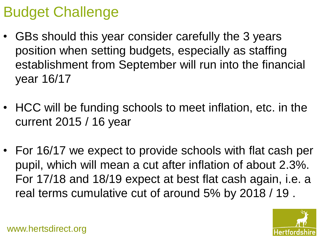## Budget Challenge

- GBs should this year consider carefully the 3 years position when setting budgets, especially as staffing establishment from September will run into the financial year 16/17
- HCC will be funding schools to meet inflation, etc. in the current 2015 / 16 year
- For 16/17 we expect to provide schools with flat cash per pupil, which will mean a cut after inflation of about 2.3%. For 17/18 and 18/19 expect at best flat cash again, i.e. a real terms cumulative cut of around 5% by 2018 / 19 .

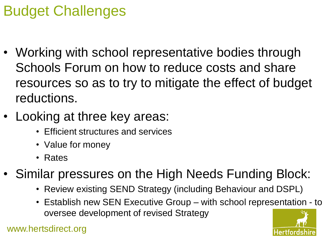# Budget Challenges

- Working with school representative bodies through Schools Forum on how to reduce costs and share resources so as to try to mitigate the effect of budget reductions.
- Looking at three key areas:
	- Efficient structures and services
	- Value for money
	- Rates
- Similar pressures on the High Needs Funding Block:
	- Review existing SEND Strategy (including Behaviour and DSPL)
	- Establish new SEN Executive Group with school representation to oversee development of revised Strategy

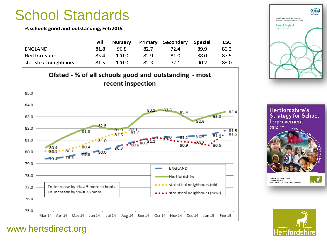## School Standards

**% schools good and outstanding, Feb 2015**

|                        | All  | <b>Nurserv</b> |      | <b>Primary Secondary</b> | Special | <b>ESC</b> |
|------------------------|------|----------------|------|--------------------------|---------|------------|
| ENGLAND                | 81.8 | 96.8           | 82.7 | 72.4                     | 89.9    | 86.2       |
| Hertfordshire          | 83.4 | 100.0          | 82.9 | 81.0                     | 88.0    | 87.5       |
| statistical neighbours | 81.5 | 100.0          | 82.3 | 72.1                     | 90.2    | 85.0       |



**Ofsted** The report of Her Majesty's Chief Inspector of<br>Education, Children's Services and Skills 2013/14 **East of England** regional report

Hertfordshire's **Strategy for School** Improvement 2014-17 A good s



**Hertfordshire County Council** Children's Services<br>Www.thegrid.org.uk/leadership/improvemer



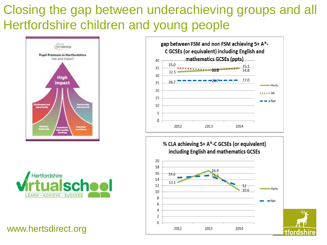## Closing the gap between underachieving groups and all Hertfordshire children and young people